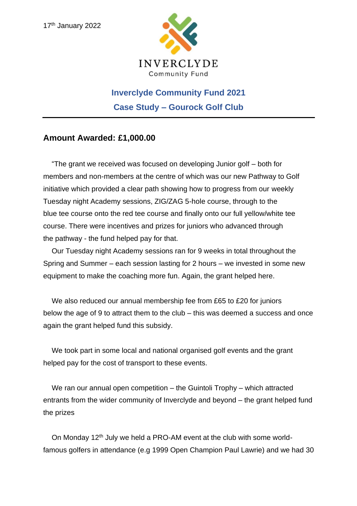

## **Inverclyde Community Fund 2021 Case Study – Gourock Golf Club**

## **Amount Awarded: £1,000.00**

"The grant we received was focused on developing Junior golf – both for members and non-members at the centre of which was our new Pathway to Golf initiative which provided a clear path showing how to progress from our weekly Tuesday night Academy sessions, ZIG/ZAG 5-hole course, through to the blue tee course onto the red tee course and finally onto our full yellow/white tee course. There were incentives and prizes for juniors who advanced through the pathway - the fund helped pay for that.

Our Tuesday night Academy sessions ran for 9 weeks in total throughout the Spring and Summer – each session lasting for 2 hours – we invested in some new equipment to make the coaching more fun. Again, the grant helped here.

We also reduced our annual membership fee from £65 to £20 for juniors below the age of 9 to attract them to the club – this was deemed a success and once again the grant helped fund this subsidy.

We took part in some local and national organised golf events and the grant helped pay for the cost of transport to these events.

We ran our annual open competition – the Guintoli Trophy – which attracted entrants from the wider community of Inverclyde and beyond – the grant helped fund the prizes

On Monday 12<sup>th</sup> July we held a PRO-AM event at the club with some worldfamous golfers in attendance (e.g 1999 Open Champion Paul Lawrie) and we had 30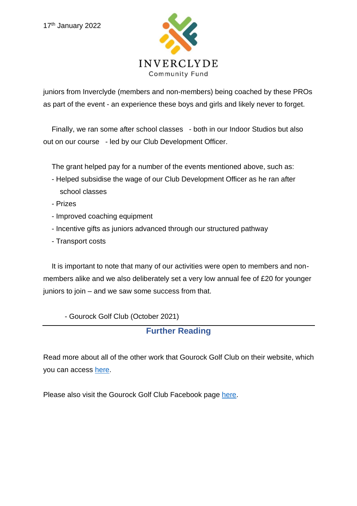

juniors from Inverclyde (members and non-members) being coached by these PROs as part of the event - an experience these boys and girls and likely never to forget.

Finally, we ran some after school classes - both in our Indoor Studios but also out on our course - led by our Club Development Officer.

The grant helped pay for a number of the events mentioned above, such as:

- Helped subsidise the wage of our Club Development Officer as he ran after school classes
- Prizes
- Improved coaching equipment
- Incentive gifts as juniors advanced through our structured pathway
- Transport costs

It is important to note that many of our activities were open to members and nonmembers alike and we also deliberately set a very low annual fee of £20 for younger juniors to join – and we saw some success from that.

- Gourock Golf Club (October 2021)

## **Further Reading**

Read more about all of the other work that Gourock Golf Club on their website, which you can access [here.](https://www.google.com/url?sa=t&rct=j&q=&esrc=s&source=web&cd=&cad=rja&uact=8&ved=2ahUKEwjc8vTJ2971AhVNQMAKHYKgANoQFnoECAsQAQ&url=https%3A%2F%2Fgourockgolfclub.com%2F&usg=AOvVaw3ltaL0s0brRREVEGVkql-6)

Please also visit the Gourock Golf Club Facebook page [here.](https://www.facebook.com/gourockgolfclub/)